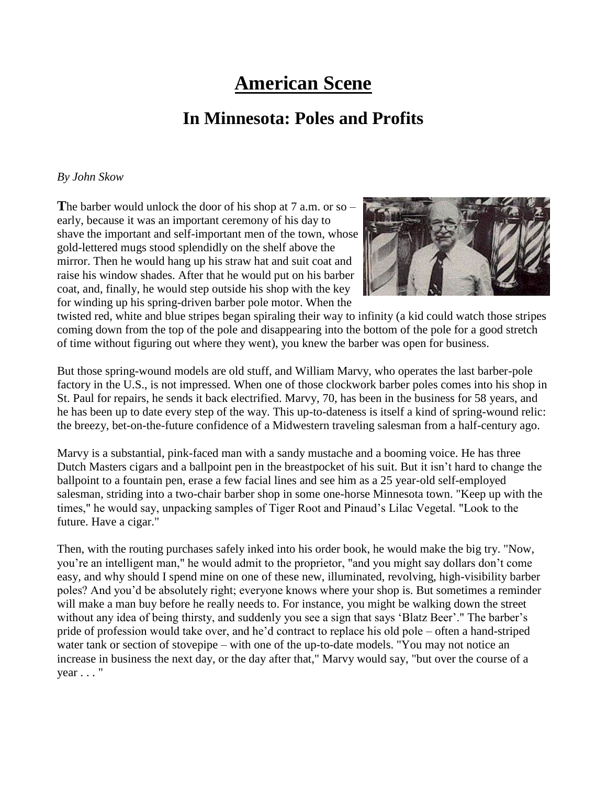## **American Scene**

## **In Minnesota: Poles and Profits**

## *By John Skow*

**T**he barber would unlock the door of his shop at 7 a.m. or so – early, because it was an important ceremony of his day to shave the important and self-important men of the town, whose gold-lettered mugs stood splendidly on the shelf above the mirror. Then he would hang up his straw hat and suit coat and raise his window shades. After that he would put on his barber coat, and, finally, he would step outside his shop with the key for winding up his spring-driven barber pole motor. When the



twisted red, white and blue stripes began spiraling their way to infinity (a kid could watch those stripes coming down from the top of the pole and disappearing into the bottom of the pole for a good stretch of time without figuring out where they went), you knew the barber was open for business.

But those spring-wound models are old stuff, and William Marvy, who operates the last barber-pole factory in the U.S., is not impressed. When one of those clockwork barber poles comes into his shop in St. Paul for repairs, he sends it back electrified. Marvy, 70, has been in the business for 58 years, and he has been up to date every step of the way. This up-to-dateness is itself a kind of spring-wound relic: the breezy, bet-on-the-future confidence of a Midwestern traveling salesman from a half-century ago.

Marvy is a substantial, pink-faced man with a sandy mustache and a booming voice. He has three Dutch Masters cigars and a ballpoint pen in the breastpocket of his suit. But it isn't hard to change the ballpoint to a fountain pen, erase a few facial lines and see him as a 25 year-old self-employed salesman, striding into a two-chair barber shop in some one-horse Minnesota town. "Keep up with the times," he would say, unpacking samples of Tiger Root and Pinaud's Lilac Vegetal. "Look to the future. Have a cigar."

Then, with the routing purchases safely inked into his order book, he would make the big try. "Now, you're an intelligent man," he would admit to the proprietor, "and you might say dollars don't come easy, and why should I spend mine on one of these new, illuminated, revolving, high-visibility barber poles? And you'd be absolutely right; everyone knows where your shop is. But sometimes a reminder will make a man buy before he really needs to. For instance, you might be walking down the street without any idea of being thirsty, and suddenly you see a sign that says 'Blatz Beer'." The barber's pride of profession would take over, and he'd contract to replace his old pole – often a hand-striped water tank or section of stovepipe – with one of the up-to-date models. "You may not notice an increase in business the next day, or the day after that," Marvy would say, "but over the course of a  $year \dots$ "